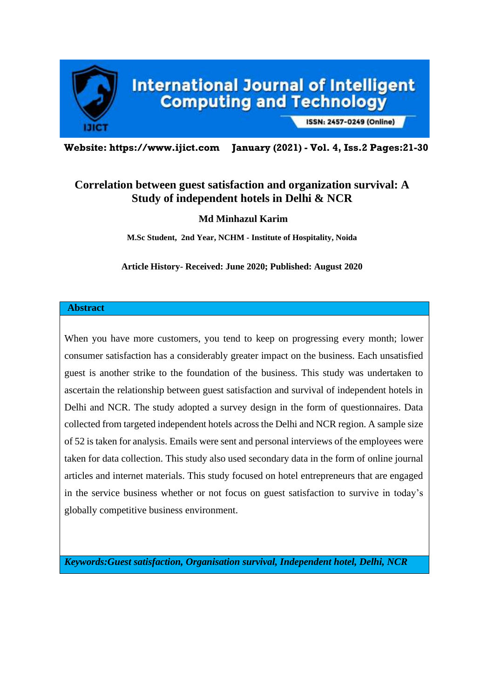

ISSN: 2457-0249 (Online)

**Website: https://www.ijict.com January (2021) - Vol. 4, Iss.2 Pages:21-30**

# **Correlation between guest satisfaction and organization survival: A Study of independent hotels in Delhi & NCR**

**Md Minhazul Karim**

**M.Sc Student, 2nd Year, NCHM - Institute of Hospitality, Noida**

**Article History- Received: June 2020; Published: August 2020**

#### **Abstract**

When you have more customers, you tend to keep on progressing every month; lower consumer satisfaction has a considerably greater impact on the business. Each unsatisfied guest is another strike to the foundation of the business. This study was undertaken to ascertain the relationship between guest satisfaction and survival of independent hotels in Delhi and NCR. The study adopted a survey design in the form of questionnaires. Data collected from targeted independent hotels across the Delhi and NCR region. A sample size of 52 is taken for analysis. Emails were sent and personal interviews of the employees were taken for data collection. This study also used secondary data in the form of online journal articles and internet materials. This study focused on hotel entrepreneurs that are engaged in the service business whether or not focus on guest satisfaction to survive in today's globally competitive business environment.

*Keywords:Guest satisfaction, Organisation survival, Independent hotel, Delhi, NCR*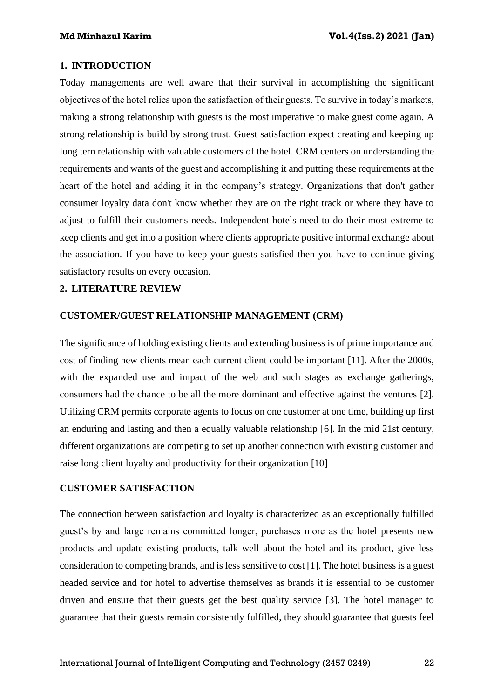### **1. INTRODUCTION**

Today managements are well aware that their survival in accomplishing the significant objectives of the hotel relies upon the satisfaction of their guests. To survive in today's markets, making a strong relationship with guests is the most imperative to make guest come again. A strong relationship is build by strong trust. Guest satisfaction expect creating and keeping up long tern relationship with valuable customers of the hotel. CRM centers on understanding the requirements and wants of the guest and accomplishing it and putting these requirements at the heart of the hotel and adding it in the company's strategy. Organizations that don't gather consumer loyalty data don't know whether they are on the right track or where they have to adjust to fulfill their customer's needs. Independent hotels need to do their most extreme to keep clients and get into a position where clients appropriate positive informal exchange about the association. If you have to keep your guests satisfied then you have to continue giving satisfactory results on every occasion.

## **2. LITERATURE REVIEW**

### **CUSTOMER/GUEST RELATIONSHIP MANAGEMENT (CRM)**

The significance of holding existing clients and extending business is of prime importance and cost of finding new clients mean each current client could be important [11]. After the 2000s, with the expanded use and impact of the web and such stages as exchange gatherings, consumers had the chance to be all the more dominant and effective against the ventures [2]. Utilizing CRM permits corporate agents to focus on one customer at one time, building up first an enduring and lasting and then a equally valuable relationship [6]. In the mid 21st century, different organizations are competing to set up another connection with existing customer and raise long client loyalty and productivity for their organization [10]

#### **CUSTOMER SATISFACTION**

The connection between satisfaction and loyalty is characterized as an exceptionally fulfilled guest's by and large remains committed longer, purchases more as the hotel presents new products and update existing products, talk well about the hotel and its product, give less consideration to competing brands, and is less sensitive to cost [1]. The hotel business is a guest headed service and for hotel to advertise themselves as brands it is essential to be customer driven and ensure that their guests get the best quality service [3]. The hotel manager to guarantee that their guests remain consistently fulfilled, they should guarantee that guests feel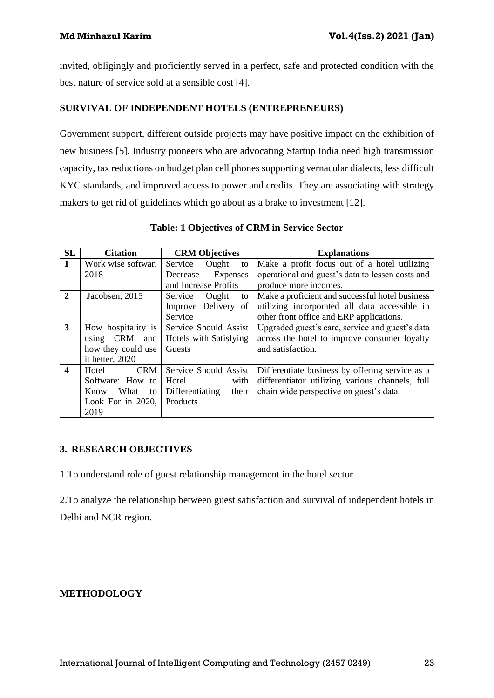invited, obligingly and proficiently served in a perfect, safe and protected condition with the best nature of service sold at a sensible cost [4].

## **SURVIVAL OF INDEPENDENT HOTELS (ENTREPRENEURS)**

Government support, different outside projects may have positive impact on the exhibition of new business [5]. Industry pioneers who are advocating Startup India need high transmission capacity, tax reductions on budget plan cell phones supporting vernacular dialects, less difficult KYC standards, and improved access to power and credits. They are associating with strategy makers to get rid of guidelines which go about as a brake to investment [12].

| <b>SL</b>               | <b>Citation</b>            | <b>CRM Objectives</b>    | <b>Explanations</b>                              |
|-------------------------|----------------------------|--------------------------|--------------------------------------------------|
| $\mathbf{1}$            | Work wise softwar,         | Service<br>Ought<br>to   | Make a profit focus out of a hotel utilizing     |
|                         | 2018                       | Decrease<br>Expenses     | operational and guest's data to lessen costs and |
|                         |                            | and Increase Profits     | produce more incomes.                            |
| $\overline{2}$          | Jacobsen, 2015             | Service<br>Ought<br>to   | Make a proficient and successful hotel business  |
|                         |                            | Improve Delivery of      | utilizing incorporated all data accessible in    |
|                         |                            | Service                  | other front office and ERP applications.         |
| $\overline{3}$          | How hospitality is         | Service Should Assist    | Upgraded guest's care, service and guest's data  |
|                         | <b>CRM</b><br>and<br>using | Hotels with Satisfying   | across the hotel to improve consumer loyalty     |
|                         | how they could use         | Guests                   | and satisfaction.                                |
|                         | it better, 2020            |                          |                                                  |
| $\overline{\mathbf{4}}$ | <b>CRM</b><br>Hotel        | Service Should Assist    | Differentiate business by offering service as a  |
|                         | Software: How to           | Hotel<br>with            | differentiator utilizing various channels, full  |
|                         | What<br>Know<br>to         | Differentiating<br>their | chain wide perspective on guest's data.          |
|                         | Look For in $2020$ ,       | Products                 |                                                  |
|                         | 2019                       |                          |                                                  |

**Table: 1 Objectives of CRM in Service Sector**

## **3. RESEARCH OBJECTIVES**

1.To understand role of guest relationship management in the hotel sector.

2.To analyze the relationship between guest satisfaction and survival of independent hotels in Delhi and NCR region.

## **METHODOLOGY**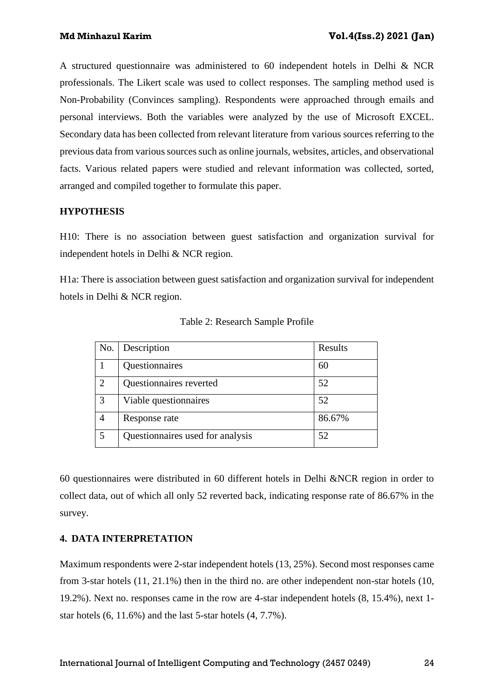A structured questionnaire was administered to 60 independent hotels in Delhi & NCR professionals. The Likert scale was used to collect responses. The sampling method used is Non-Probability (Convinces sampling). Respondents were approached through emails and personal interviews. Both the variables were analyzed by the use of Microsoft EXCEL. Secondary data has been collected from relevant literature from various sources referring to the previous data from various sources such as online journals, websites, articles, and observational facts. Various related papers were studied and relevant information was collected, sorted, arranged and compiled together to formulate this paper.

## **HYPOTHESIS**

H10: There is no association between guest satisfaction and organization survival for independent hotels in Delhi & NCR region.

H1a: There is association between guest satisfaction and organization survival for independent hotels in Delhi & NCR region.

| No.                         | Description                      | Results |
|-----------------------------|----------------------------------|---------|
|                             | Questionnaires                   | 60      |
| $\mathcal{D}_{\mathcal{L}}$ | Questionnaires reverted          | 52      |
| 3                           | Viable questionnaires            | 52      |
|                             | Response rate                    | 86.67%  |
| 5                           | Questionnaires used for analysis | 52      |

Table 2: Research Sample Profile

60 questionnaires were distributed in 60 different hotels in Delhi &NCR region in order to collect data, out of which all only 52 reverted back, indicating response rate of 86.67% in the survey.

## **4. DATA INTERPRETATION**

Maximum respondents were 2-star independent hotels (13, 25%). Second most responses came from 3-star hotels (11, 21.1%) then in the third no. are other independent non-star hotels (10, 19.2%). Next no. responses came in the row are 4-star independent hotels (8, 15.4%), next 1 star hotels (6, 11.6%) and the last 5-star hotels (4, 7.7%).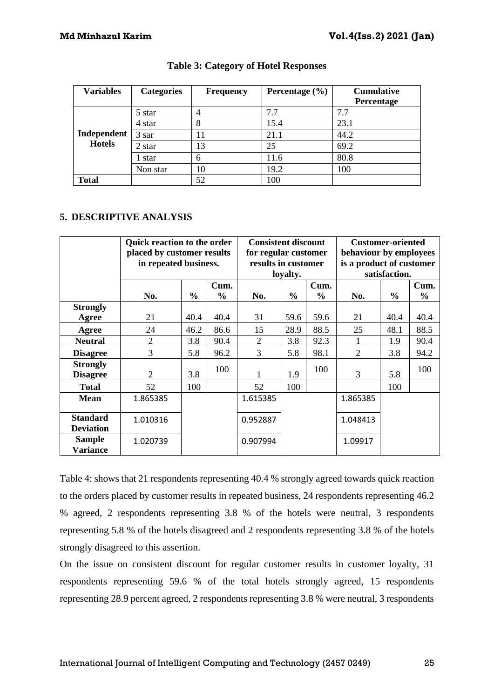| <b>Variables</b> | <b>Categories</b> | <b>Frequency</b> | Percentage $(\% )$ | <b>Cumulative</b> |
|------------------|-------------------|------------------|--------------------|-------------------|
|                  |                   |                  |                    | Percentage        |
|                  | 5 star            |                  | 7.7                | 7.7               |
|                  | 4 star            | 8                | 15.4               | 23.1              |
| Independent      | 3 sar             | 11               | 21.1               | 44.2              |
| <b>Hotels</b>    | 2 star            | 13               | 25                 | 69.2              |
|                  | 1 star            | 6                | 11.6               | 80.8              |
|                  | Non star          | 10               | 19.2               | 100               |
| <b>Total</b>     |                   | 52               | 100                |                   |

## **Table 3: Category of Hotel Responses**

## **5. DESCRIPTIVE ANALYSIS**

|                                     | <b>Ouick reaction to the order</b><br>placed by customer results<br>in repeated business. |               |                       |          | <b>Consistent discount</b><br>for regular customer<br>results in customer<br>loyalty. |              |                | <b>Customer-oriented</b><br>behaviour by employees<br>is a product of customer<br>satisfaction. |                       |  |  |
|-------------------------------------|-------------------------------------------------------------------------------------------|---------------|-----------------------|----------|---------------------------------------------------------------------------------------|--------------|----------------|-------------------------------------------------------------------------------------------------|-----------------------|--|--|
|                                     | No.                                                                                       | $\frac{6}{6}$ | Cum.<br>$\frac{0}{0}$ | No.      | $\frac{0}{0}$                                                                         | Cum.<br>$\%$ | No.            | $\frac{6}{6}$                                                                                   | Cum.<br>$\frac{0}{0}$ |  |  |
| <b>Strongly</b>                     |                                                                                           |               |                       |          |                                                                                       |              |                |                                                                                                 |                       |  |  |
| Agree                               | 21                                                                                        | 40.4          | 40.4                  | 31       | 59.6                                                                                  | 59.6         | 21             | 40.4                                                                                            | 40.4                  |  |  |
| Agree                               | 24                                                                                        | 46.2          | 86.6                  | 15       | 28.9                                                                                  | 88.5         | 25             | 48.1                                                                                            | 88.5                  |  |  |
| <b>Neutral</b>                      | $\overline{2}$                                                                            | 3.8           | 90.4                  | 2        | 3.8                                                                                   | 92.3         |                | 1.9                                                                                             | 90.4                  |  |  |
| <b>Disagree</b>                     | 3                                                                                         | 5.8           | 96.2                  | 3        | 5.8                                                                                   | 98.1         | 2              | 3.8                                                                                             | 94.2                  |  |  |
| <b>Strongly</b><br><b>Disagree</b>  | $\overline{2}$                                                                            | 3.8           | 100                   |          | 1.9                                                                                   | 100          | $\overline{3}$ | 5.8                                                                                             | 100                   |  |  |
| <b>Total</b>                        | 52                                                                                        | 100           |                       | 52       | 100                                                                                   |              |                | 100                                                                                             |                       |  |  |
| <b>Mean</b>                         | 1.865385                                                                                  |               |                       | 1.615385 |                                                                                       |              | 1.865385       |                                                                                                 |                       |  |  |
| <b>Standard</b><br><b>Deviation</b> | 1.010316                                                                                  |               |                       | 0.952887 |                                                                                       |              | 1.048413       |                                                                                                 |                       |  |  |
| <b>Sample</b><br><b>Variance</b>    | 1.020739                                                                                  |               |                       | 0.907994 |                                                                                       |              | 1.09917        |                                                                                                 |                       |  |  |

Table 4: shows that 21 respondents representing 40.4 % strongly agreed towards quick reaction to the orders placed by customer results in repeated business, 24 respondents representing 46.2 % agreed, 2 respondents representing 3.8 % of the hotels were neutral, 3 respondents representing 5.8 % of the hotels disagreed and 2 respondents representing 3.8 % of the hotels strongly disagreed to this assertion.

On the issue on consistent discount for regular customer results in customer loyalty, 31 respondents representing 59.6 % of the total hotels strongly agreed, 15 respondents representing 28.9 percent agreed, 2 respondents representing 3.8 % were neutral, 3 respondents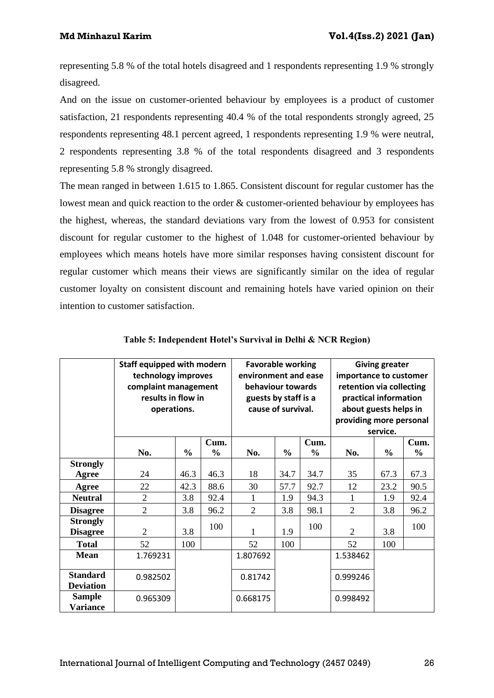representing 5.8 % of the total hotels disagreed and 1 respondents representing 1.9 % strongly disagreed.

And on the issue on customer-oriented behaviour by employees is a product of customer satisfaction, 21 respondents representing 40.4 % of the total respondents strongly agreed, 25 respondents representing 48.1 percent agreed, 1 respondents representing 1.9 % were neutral, 2 respondents representing 3.8 % of the total respondents disagreed and 3 respondents representing 5.8 % strongly disagreed.

The mean ranged in between 1.615 to 1.865. Consistent discount for regular customer has the lowest mean and quick reaction to the order  $\&$  customer-oriented behaviour by employees has the highest, whereas, the standard deviations vary from the lowest of 0.953 for consistent discount for regular customer to the highest of 1.048 for customer-oriented behaviour by employees which means hotels have more similar responses having consistent discount for regular customer which means their views are significantly similar on the idea of regular customer loyalty on consistent discount and remaining hotels have varied opinion on their intention to customer satisfaction.

|                                     | Staff equipped with modern<br>technology improves<br>complaint management<br>results in flow in<br>operations. |               | <b>Favorable working</b><br>environment and ease<br>behaviour towards<br>guests by staff is a<br>cause of survival. |                |               | <b>Giving greater</b><br>importance to customer<br>retention via collecting<br>practical information<br>about guests helps in<br>providing more personal<br>service. |                |               |                       |
|-------------------------------------|----------------------------------------------------------------------------------------------------------------|---------------|---------------------------------------------------------------------------------------------------------------------|----------------|---------------|----------------------------------------------------------------------------------------------------------------------------------------------------------------------|----------------|---------------|-----------------------|
|                                     | No.                                                                                                            | $\frac{0}{0}$ | Cum.<br>$\frac{0}{0}$                                                                                               | No.            | $\frac{0}{0}$ | Cum.<br>$\frac{0}{0}$                                                                                                                                                | No.            | $\frac{0}{0}$ | Cum.<br>$\frac{0}{0}$ |
| <b>Strongly</b><br>Agree            | 24                                                                                                             | 46.3          | 46.3                                                                                                                | 18             | 34.7          | 34.7                                                                                                                                                                 | 35             | 67.3          | 67.3                  |
| Agree                               | 22                                                                                                             | 42.3          | 88.6                                                                                                                | 30             | 57.7          | 92.7                                                                                                                                                                 | 12             | 23.2          | 90.5                  |
| <b>Neutral</b>                      | $\overline{2}$                                                                                                 | 3.8           | 92.4                                                                                                                | 1              | 1.9           | 94.3                                                                                                                                                                 | 1              | 1.9           | 92.4                  |
| <b>Disagree</b>                     | $\overline{2}$                                                                                                 | 3.8           | 96.2                                                                                                                | $\overline{2}$ | 3.8           | 98.1                                                                                                                                                                 | $\overline{2}$ | 3.8           | 96.2                  |
| <b>Strongly</b><br><b>Disagree</b>  | $\overline{2}$                                                                                                 | 3.8           | 100                                                                                                                 | 1              | 1.9           | 100                                                                                                                                                                  | $\overline{2}$ | 3.8           | 100                   |
| <b>Total</b>                        | 52                                                                                                             | 100           |                                                                                                                     | 52             | 100           |                                                                                                                                                                      | 52             | 100           |                       |
| <b>Mean</b>                         | 1.769231                                                                                                       |               |                                                                                                                     | 1.807692       |               |                                                                                                                                                                      | 1.538462       |               |                       |
| <b>Standard</b><br><b>Deviation</b> | 0.982502                                                                                                       |               |                                                                                                                     | 0.81742        |               |                                                                                                                                                                      | 0.999246       |               |                       |
| <b>Sample</b><br>Variance           | 0.965309                                                                                                       |               |                                                                                                                     | 0.668175       |               |                                                                                                                                                                      | 0.998492       |               |                       |

| Table 5: Independent Hotel's Survival in Delhi & NCR Region) |  |  |  |  |  |  |  |  |  |  |  |  |  |
|--------------------------------------------------------------|--|--|--|--|--|--|--|--|--|--|--|--|--|
|--------------------------------------------------------------|--|--|--|--|--|--|--|--|--|--|--|--|--|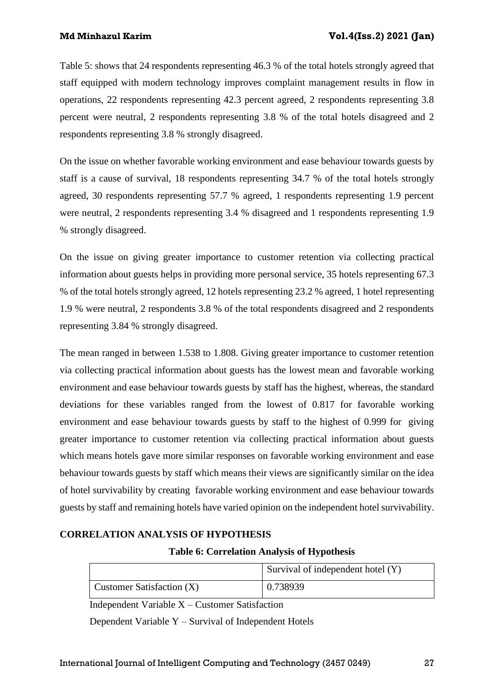Table 5: shows that 24 respondents representing 46.3 % of the total hotels strongly agreed that staff equipped with modern technology improves complaint management results in flow in operations, 22 respondents representing 42.3 percent agreed, 2 respondents representing 3.8 percent were neutral, 2 respondents representing 3.8 % of the total hotels disagreed and 2 respondents representing 3.8 % strongly disagreed.

On the issue on whether favorable working environment and ease behaviour towards guests by staff is a cause of survival, 18 respondents representing 34.7 % of the total hotels strongly agreed, 30 respondents representing 57.7 % agreed, 1 respondents representing 1.9 percent were neutral, 2 respondents representing 3.4 % disagreed and 1 respondents representing 1.9 % strongly disagreed.

On the issue on giving greater importance to customer retention via collecting practical information about guests helps in providing more personal service, 35 hotels representing 67.3 % of the total hotels strongly agreed, 12 hotels representing 23.2 % agreed, 1 hotel representing 1.9 % were neutral, 2 respondents 3.8 % of the total respondents disagreed and 2 respondents representing 3.84 % strongly disagreed.

The mean ranged in between 1.538 to 1.808. Giving greater importance to customer retention via collecting practical information about guests has the lowest mean and favorable working environment and ease behaviour towards guests by staff has the highest, whereas, the standard deviations for these variables ranged from the lowest of 0.817 for favorable working environment and ease behaviour towards guests by staff to the highest of 0.999 for giving greater importance to customer retention via collecting practical information about guests which means hotels gave more similar responses on favorable working environment and ease behaviour towards guests by staff which means their views are significantly similar on the idea of hotel survivability by creating favorable working environment and ease behaviour towards guests by staff and remaining hotels have varied opinion on the independent hotel survivability.

## **CORRELATION ANALYSIS OF HYPOTHESIS**

## **Table 6: Correlation Analysis of Hypothesis**

|                             | Survival of independent hotel (Y) |
|-----------------------------|-----------------------------------|
| Customer Satisfaction $(X)$ | 0.738939                          |

Independent Variable X – Customer Satisfaction

Dependent Variable Y – Survival of Independent Hotels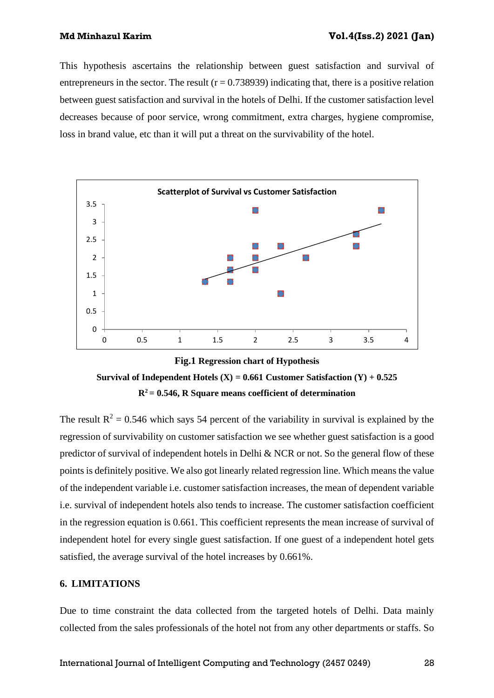This hypothesis ascertains the relationship between guest satisfaction and survival of entrepreneurs in the sector. The result  $(r = 0.738939)$  indicating that, there is a positive relation between guest satisfaction and survival in the hotels of Delhi. If the customer satisfaction level decreases because of poor service, wrong commitment, extra charges, hygiene compromise, loss in brand value, etc than it will put a threat on the survivability of the hotel.





The result  $R^2 = 0.546$  which says 54 percent of the variability in survival is explained by the regression of survivability on customer satisfaction we see whether guest satisfaction is a good predictor of survival of independent hotels in Delhi & NCR or not. So the general flow of these points is definitely positive. We also got linearly related regression line. Which means the value of the independent variable i.e. customer satisfaction increases, the mean of dependent variable i.e. survival of independent hotels also tends to increase. The customer satisfaction coefficient in the regression equation is 0.661. This coefficient represents the mean increase of survival of independent hotel for every single guest satisfaction. If one guest of a independent hotel gets satisfied, the average survival of the hotel increases by 0.661%.

#### **6. LIMITATIONS**

Due to time constraint the data collected from the targeted hotels of Delhi. Data mainly collected from the sales professionals of the hotel not from any other departments or staffs. So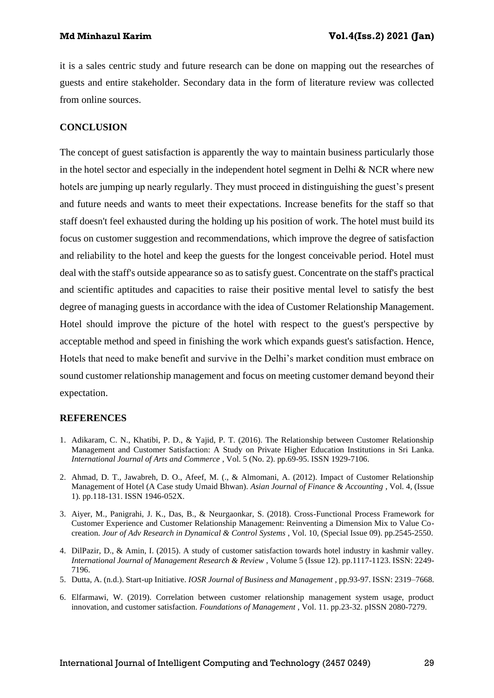it is a sales centric study and future research can be done on mapping out the researches of guests and entire stakeholder. Secondary data in the form of literature review was collected from online sources.

### **CONCLUSION**

The concept of guest satisfaction is apparently the way to maintain business particularly those in the hotel sector and especially in the independent hotel segment in Delhi & NCR where new hotels are jumping up nearly regularly. They must proceed in distinguishing the guest's present and future needs and wants to meet their expectations. Increase benefits for the staff so that staff doesn't feel exhausted during the holding up his position of work. The hotel must build its focus on customer suggestion and recommendations, which improve the degree of satisfaction and reliability to the hotel and keep the guests for the longest conceivable period. Hotel must deal with the staff's outside appearance so as to satisfy guest. Concentrate on the staff's practical and scientific aptitudes and capacities to raise their positive mental level to satisfy the best degree of managing guests in accordance with the idea of Customer Relationship Management. Hotel should improve the picture of the hotel with respect to the guest's perspective by acceptable method and speed in finishing the work which expands guest's satisfaction. Hence, Hotels that need to make benefit and survive in the Delhi's market condition must embrace on sound customer relationship management and focus on meeting customer demand beyond their expectation.

### **REFERENCES**

- 1. Adikaram, C. N., Khatibi, P. D., & Yajid, P. T. (2016). The Relationship between Customer Relationship Management and Customer Satisfaction: A Study on Private Higher Education Institutions in Sri Lanka. *International Journal of Arts and Commerce* , Vol. 5 (No. 2). pp.69-95. ISSN 1929-7106.
- 2. Ahmad, D. T., Jawabreh, D. O., Afeef, M. (., & Almomani, A. (2012). Impact of Customer Relationship Management of Hotel (A Case study Umaid Bhwan). *Asian Journal of Finance & Accounting* , Vol. 4, (Issue 1). pp.118-131. ISSN 1946-052X.
- 3. Aiyer, M., Panigrahi, J. K., Das, B., & Neurgaonkar, S. (2018). Cross-Functional Process Framework for Customer Experience and Customer Relationship Management: Reinventing a Dimension Mix to Value Cocreation. *Jour of Adv Research in Dynamical & Control Systems* , Vol. 10, (Special Issue 09). pp.2545-2550.
- 4. DilPazir, D., & Amin, I. (2015). A study of customer satisfaction towards hotel industry in kashmir valley. *International Journal of Management Research & Review* , Volume 5 (Issue 12). pp.1117-1123. ISSN: 2249- 7196.
- 5. Dutta, A. (n.d.). Start-up Initiative. *IOSR Journal of Business and Management* , pp.93-97. ISSN: 2319–7668.
- 6. Elfarmawi, W. (2019). Correlation between customer relationship management system usage, product innovation, and customer satisfaction. *Foundations of Management* , Vol. 11. pp.23-32. pISSN 2080-7279.